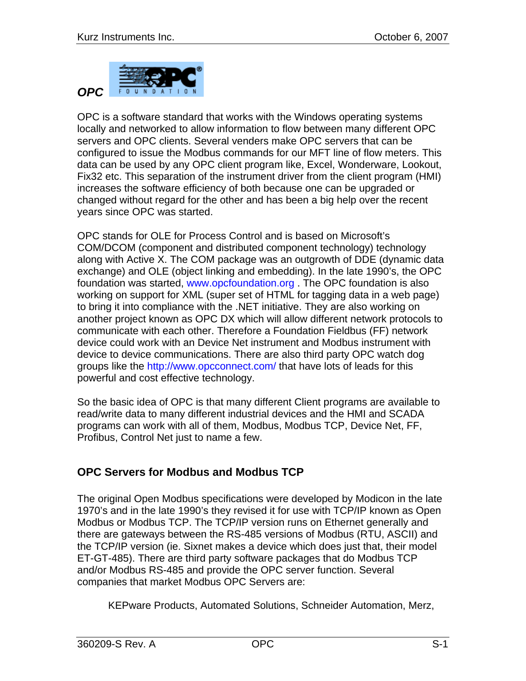

OPC is a software standard that works with the Windows operating systems locally and networked to allow information to flow between many different OPC servers and OPC clients. Several venders make OPC servers that can be configured to issue the Modbus commands for our MFT line of flow meters. This data can be used by any OPC client program like, Excel, Wonderware, Lookout, Fix32 etc. This separation of the instrument driver from the client program (HMI) increases the software efficiency of both because one can be upgraded or changed without regard for the other and has been a big help over the recent years since OPC was started.

OPC stands for OLE for Process Control and is based on Microsoft's COM/DCOM (component and distributed component technology) technology along with Active X. The COM package was an outgrowth of DDE (dynamic data exchange) and OLE (object linking and embedding). In the late 1990's, the OPC foundation was started, www.opcfoundation.org . The OPC foundation is also working on support for XML (super set of HTML for tagging data in a web page) to bring it into compliance with the .NET initiative. They are also working on another project known as OPC DX which will allow different network protocols to communicate with each other. Therefore a Foundation Fieldbus (FF) network device could work with an Device Net instrument and Modbus instrument with device to device communications. There are also third party OPC watch dog groups like the http://www.opcconnect.com/ that have lots of leads for this powerful and cost effective technology.

So the basic idea of OPC is that many different Client programs are available to read/write data to many different industrial devices and the HMI and SCADA programs can work with all of them, Modbus, Modbus TCP, Device Net, FF, Profibus, Control Net just to name a few.

## **OPC Servers for Modbus and Modbus TCP**

The original Open Modbus specifications were developed by Modicon in the late 1970's and in the late 1990's they revised it for use with TCP/IP known as Open Modbus or Modbus TCP. The TCP/IP version runs on Ethernet generally and there are gateways between the RS-485 versions of Modbus (RTU, ASCII) and the TCP/IP version (ie. Sixnet makes a device which does just that, their model ET-GT-485). There are third party software packages that do Modbus TCP and/or Modbus RS-485 and provide the OPC server function. Several companies that market Modbus OPC Servers are:

KEPware Products, Automated Solutions, Schneider Automation, Merz,